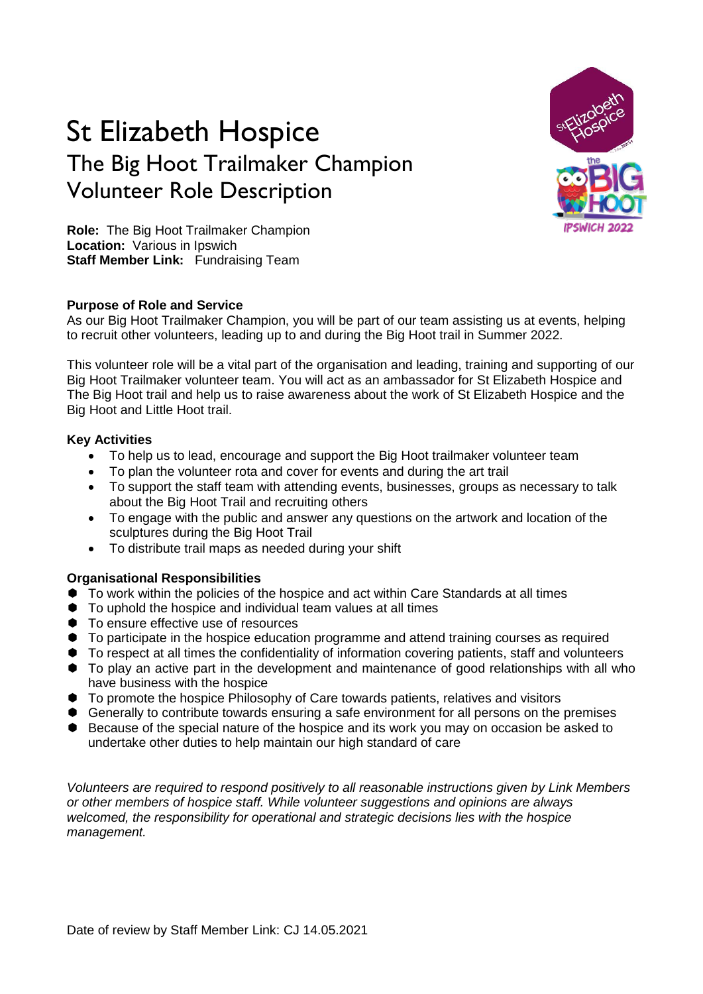# St Elizabeth Hospice The Big Hoot Trailmaker Champion Volunteer Role Description



**Role:** The Big Hoot Trailmaker Champion **Location:** Various in Ipswich **Staff Member Link:** Fundraising Team

# **Purpose of Role and Service**

As our Big Hoot Trailmaker Champion, you will be part of our team assisting us at events, helping to recruit other volunteers, leading up to and during the Big Hoot trail in Summer 2022.

This volunteer role will be a vital part of the organisation and leading, training and supporting of our Big Hoot Trailmaker volunteer team. You will act as an ambassador for St Elizabeth Hospice and The Big Hoot trail and help us to raise awareness about the work of St Elizabeth Hospice and the Big Hoot and Little Hoot trail.

### **Key Activities**

- To help us to lead, encourage and support the Big Hoot trailmaker volunteer team
- To plan the volunteer rota and cover for events and during the art trail
- To support the staff team with attending events, businesses, groups as necessary to talk about the Big Hoot Trail and recruiting others
- To engage with the public and answer any questions on the artwork and location of the sculptures during the Big Hoot Trail
- To distribute trail maps as needed during your shift

# **Organisational Responsibilities**

- To work within the policies of the hospice and act within Care Standards at all times
- $\bullet$  To uphold the hospice and individual team values at all times
- $\bullet$  To ensure effective use of resources
- $\bullet$  To participate in the hospice education programme and attend training courses as required
- $\bullet$  To respect at all times the confidentiality of information covering patients, staff and volunteers
- $\bullet$  To play an active part in the development and maintenance of good relationships with all who have business with the hospice
- To promote the hospice Philosophy of Care towards patients, relatives and visitors
- Generally to contribute towards ensuring a safe environment for all persons on the premises
- Because of the special nature of the hospice and its work you may on occasion be asked to undertake other duties to help maintain our high standard of care

*Volunteers are required to respond positively to all reasonable instructions given by Link Members or other members of hospice staff. While volunteer suggestions and opinions are always welcomed, the responsibility for operational and strategic decisions lies with the hospice management.*